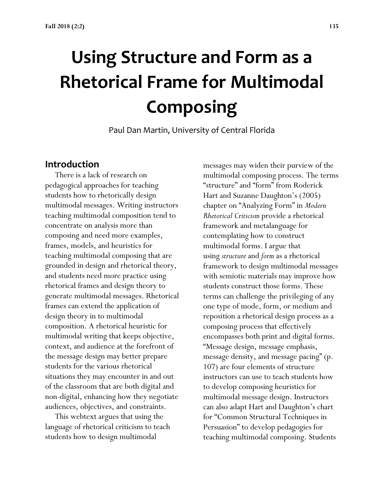# **Using Structure and Form as a Rhetorical Frame for Multimodal Composing**

Paul Dan Martin, University of Central Florida

## **Introduction**

 There is a lack of research on pedagogical approaches for teaching students how to rhetorically design multimodal messages. Writing instructors teaching multimodal composition tend to concentrate on analysis more than composing and need more examples, frames, models, and heuristics for teaching multimodal composing that are grounded in design and rhetorical theory, and students need more practice using rhetorical frames and design theory to generate multimodal messages. Rhetorical frames can extend the application of design theory in to multimodal composition. A rhetorical heuristic for multimodal writing that keeps objective, context, and audience at the forefront of the message design may better prepare students for the various rhetorical situations they may encounter in and out of the classroom that are both digital and non-digital, enhancing how they negotiate audiences, objectives, and constraints.

 This webtext argues that using the language of rhetorical criticism to teach students how to design multimodal

messages may widen their purview of the multimodal composing process. The terms "structure" and "form" from Roderick Hart and Suzanne Daughton's (2005) chapter on "Analyzing Form" in *Modern Rhetorical Criticism* provide a rhetorical framework and metalanguage for contemplating how to construct multimodal forms. I argue that using *structure* and *form* as a rhetorical framework to design multimodal messages with semiotic materials may improve how students construct those forms. These terms can challenge the privileging of any one type of mode, form, or medium and reposition a rhetorical design process as a composing process that effectively encompasses both print and digital forms. "Message design, message emphasis, message density, and message pacing" (p. 107) are four elements of structure instructors can use to teach students how to develop composing heuristics for multimodal message design. Instructors can also adapt Hart and Daughton's chart for "Common Structural Techniques in Persuasion" to develop pedagogies for teaching multimodal composing. Students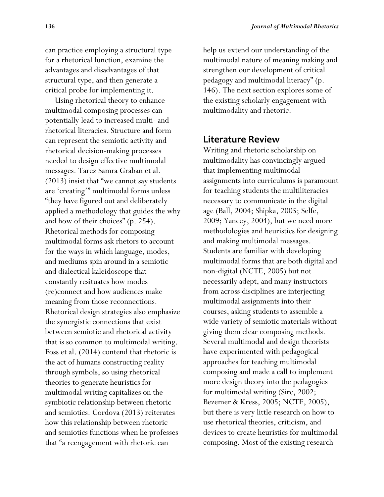can practice employing a structural type for a rhetorical function, examine the advantages and disadvantages of that structural type, and then generate a critical probe for implementing it.

 Using rhetorical theory to enhance multimodal composing processes can potentially lead to increased multi- and rhetorical literacies. Structure and form can represent the semiotic activity and rhetorical decision-making processes needed to design effective multimodal messages. Tarez Samra Graban et al. (2013) insist that "we cannot say students are 'creating'" multimodal forms unless "they have figured out and deliberately applied a methodology that guides the why and how of their choices" (p. 254). Rhetorical methods for composing multimodal forms ask rhetors to account for the ways in which language, modes, and mediums spin around in a semiotic and dialectical kaleidoscope that constantly resituates how modes (re)connect and how audiences make meaning from those reconnections. Rhetorical design strategies also emphasize the synergistic connections that exist between semiotic and rhetorical activity that is so common to multimodal writing. Foss et al. (2014) contend that rhetoric is the act of humans constructing reality through symbols, so using rhetorical theories to generate heuristics for multimodal writing capitalizes on the symbiotic relationship between rhetoric and semiotics. Cordova (2013) reiterates how this relationship between rhetoric and semiotics functions when he professes that "a reengagement with rhetoric can

help us extend our understanding of the multimodal nature of meaning making and strengthen our development of critical pedagogy and multimodal literacy" (p. 146). The next section explores some of the existing scholarly engagement with multimodality and rhetoric.

### **Literature Review**

Writing and rhetoric scholarship on multimodality has convincingly argued that implementing multimodal assignments into curriculums is paramount for teaching students the multiliteracies necessary to communicate in the digital age (Ball, 2004; Shipka, 2005; Selfe, 2009; Yancey, 2004), but we need more methodologies and heuristics for designing and making multimodal messages. Students are familiar with developing multimodal forms that are both digital and non-digital (NCTE, 2005) but not necessarily adept, and many instructors from across disciplines are interjecting multimodal assignments into their courses, asking students to assemble a wide variety of semiotic materials without giving them clear composing methods. Several multimodal and design theorists have experimented with pedagogical approaches for teaching multimodal composing and made a call to implement more design theory into the pedagogies for multimodal writing (Sirc, 2002; Bezemer & Kress, 2005; NCTE, 2005), but there is very little research on how to use rhetorical theories, criticism, and devices to create heuristics for multimodal composing. Most of the existing research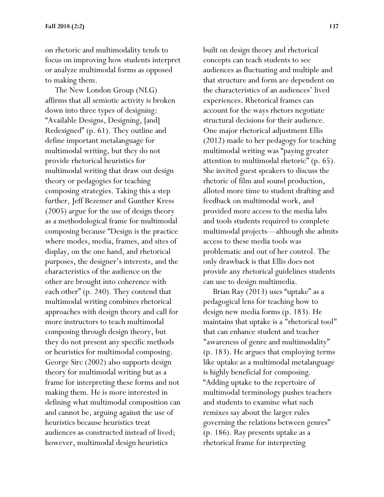on rhetoric and multimodality tends to focus on improving how students interpret or analyze multimodal forms as opposed to making them.

 The New London Group (NLG) affirms that all semiotic activity is broken down into three types of designing: "Available Designs, Designing, [and] Redesigned" (p. 61). They outline and define important metalanguage for multimodal writing, but they do not provide rhetorical heuristics for multimodal writing that draw out design theory or pedagogies for teaching composing strategies. Taking this a step further, Jeff Bezemer and Gunther Kress (2005) argue for the use of design theory as a methodological frame for multimodal composing because "Design is the practice where modes, media, frames, and sites of display, on the one hand, and rhetorical purposes, the designer's interests, and the characteristics of the audience on the other are brought into coherence with each other" (p. 240). They contend that multimodal writing combines rhetorical approaches with design theory and call for more instructors to teach multimodal composing through design theory, but they do not present any specific methods or heuristics for multimodal composing. George Sirc (2002) also supports design theory for multimodal writing but as a frame for interpreting these forms and not making them. He is more interested in defining what multimodal composition can and cannot be, arguing against the use of heuristics because heuristics treat audiences as constructed instead of lived; however, multimodal design heuristics

built on design theory and rhetorical concepts can teach students to see audiences as fluctuating and multiple and that structure and form are dependent on the characteristics of an audiences' lived experiences. Rhetorical frames can account for the ways rhetors negotiate structural decisions for their audience. One major rhetorical adjustment Ellis (2012) made to her pedagogy for teaching multimodal writing was "paying greater attention to multimodal rhetoric" (p. 65). She invited guest speakers to discuss the rhetoric of film and sound production, alloted more time to student drafting and feedback on multimodal work, and provided more access to the media labs and tools students required to complete multimodal projects—although she admits access to these media tools was problematic and out of her control. The only drawback is that Ellis does not provide any rhetorical guidelines students can use to design multimedia.

 Brian Ray (2013) uses "uptake" as a pedagogical lens for teaching how to design new media forms (p. 183). He maintains that uptake is a "rhetorical tool" that can enhance student and teacher "awareness of genre and multimodality" (p. 183). He argues that employing terms like uptake as a multimodal metalanguage is highly beneficial for composing. "Adding uptake to the repertoire of multimodal terminology pushes teachers and students to examine what such remixes say about the larger rules governing the relations between genres" (p. 186). Ray presents uptake as a rhetorical frame for interpreting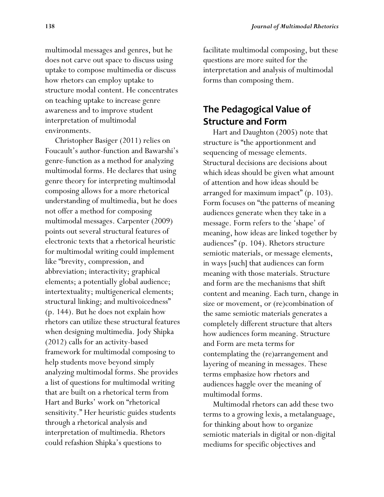multimodal messages and genres, but he does not carve out space to discuss using uptake to compose multimedia or discuss how rhetors can employ uptake to structure modal content. He concentrates on teaching uptake to increase genre awareness and to improve student interpretation of multimodal environments.

 Christopher Basiger (2011) relies on Foucault's author-function and Bawarshi's genre-function as a method for analyzing multimodal forms. He declares that using genre theory for interpreting multimodal composing allows for a more rhetorical understanding of multimedia, but he does not offer a method for composing multimodal messages. Carpenter (2009) points out several structural features of electronic texts that a rhetorical heuristic for multimodal writing could implement like "brevity, compression, and abbreviation; interactivity; graphical elements; a potentially global audience; intertextuality; multigenerical elements; structural linking; and multivoicedness" (p. 144). But he does not explain how rhetors can utilize these structural features when designing multimedia. Jody Shipka (2012) calls for an activity-based framework for multimodal composing to help students move beyond simply analyzing multimodal forms. She provides a list of questions for multimodal writing that are built on a rhetorical term from Hart and Burks' work on "rhetorical sensitivity." Her heuristic guides students through a rhetorical analysis and interpretation of multimedia. Rhetors could refashion Shipka's questions to

facilitate multimodal composing, but these questions are more suited for the interpretation and analysis of multimodal forms than composing them.

# **The Pedagogical Value of Structure and Form**

 Hart and Daughton (2005) note that structure is "the apportionment and sequencing of message elements. Structural decisions are decisions about which ideas should be given what amount of attention and how ideas should be arranged for maximum impact" (p. 103). Form focuses on "the patterns of meaning audiences generate when they take in a message. Form refers to the 'shape' of meaning, how ideas are linked together by audiences" (p. 104). Rhetors structure semiotic materials, or message elements, in ways [such] that audiences can form meaning with those materials. Structure and form are the mechanisms that shift content and meaning. Each turn, change in size or movement, or (re)combination of the same semiotic materials generates a completely different structure that alters how audiences form meaning. Structure and Form are meta terms for contemplating the (re)arrangement and layering of meaning in messages. These terms emphasize how rhetors and audiences haggle over the meaning of multimodal forms.

 Multimodal rhetors can add these two terms to a growing lexis, a metalanguage, for thinking about how to organize semiotic materials in digital or non-digital mediums for specific objectives and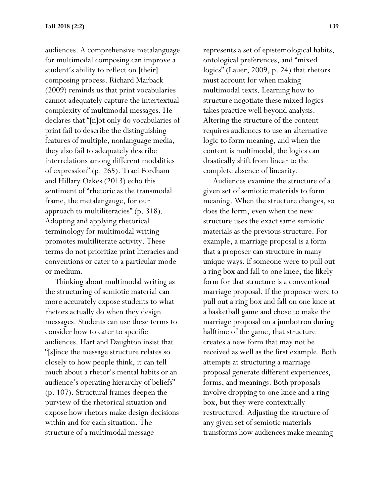audiences. A comprehensive metalanguage for multimodal composing can improve a student's ability to reflect on [their] composing process. Richard Marback (2009) reminds us that print vocabularies cannot adequately capture the intertextual complexity of multimodal messages. He declares that "[n]ot only do vocabularies of print fail to describe the distinguishing features of multiple, nonlanguage media, they also fail to adequately describe interrelations among different modalities of expression" (p. 265). Traci Fordham and Hillary Oakes (2013) echo this sentiment of "rhetoric as the transmodal frame, the metalangauge, for our approach to multiliteracies" (p. 318). Adopting and applying rhetorical terminology for multimodal writing promotes multiliterate activity. These terms do not prioritize print literacies and conventions or cater to a particular mode or medium.

 Thinking about multimodal writing as the structuring of semiotic material can more accurately expose students to what rhetors actually do when they design messages. Students can use these terms to consider how to cater to specific audiences. Hart and Daughton insist that "[s]ince the message structure relates so closely to how people think, it can tell much about a rhetor's mental habits or an audience's operating hierarchy of beliefs" (p. 107). Structural frames deepen the purview of the rhetorical situation and expose how rhetors make design decisions within and for each situation. The structure of a multimodal message

represents a set of epistemological habits, ontological preferences, and "mixed logics" (Lauer, 2009, p. 24) that rhetors must account for when making multimodal texts. Learning how to structure negotiate these mixed logics takes practice well beyond analysis. Altering the structure of the content requires audiences to use an alternative logic to form meaning, and when the content is multimodal, the logics can drastically shift from linear to the complete absence of linearity.

 Audiences examine the structure of a given set of semiotic materials to form meaning. When the structure changes, so does the form, even when the new structure uses the exact same semiotic materials as the previous structure. For example, a marriage proposal is a form that a proposer can structure in many unique ways. If someone were to pull out a ring box and fall to one knee, the likely form for that structure is a conventional marriage proposal. If the proposer were to pull out a ring box and fall on one knee at a basketball game and chose to make the marriage proposal on a jumbotron during halftime of the game, that structure creates a new form that may not be received as well as the first example. Both attempts at structuring a marriage proposal generate different experiences, forms, and meanings. Both proposals involve dropping to one knee and a ring box, but they were contextually restructured. Adjusting the structure of any given set of semiotic materials transforms how audiences make meaning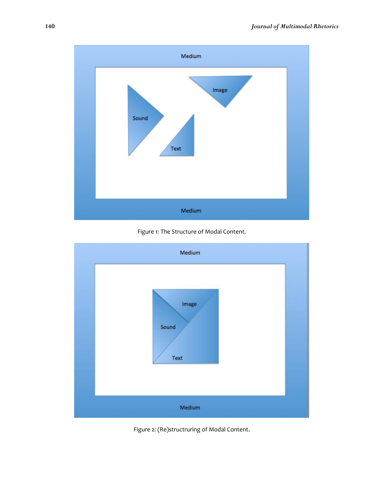

Figure 1: The Structure of Modal Content.



Figure 2: (Re)structruring of Modal Content.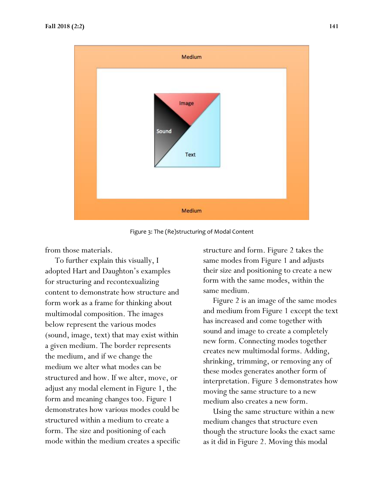

Figure 3: The (Re)structuring of Modal Content

from those materials.

 To further explain this visually, I adopted Hart and Daughton's examples for structuring and recontexualizing content to demonstrate how structure and form work as a frame for thinking about multimodal composition. The images below represent the various modes (sound, image, text) that may exist within a given medium. The border represents the medium, and if we change the medium we alter what modes can be structured and how. If we alter, move, or adjust any modal element in Figure 1, the form and meaning changes too. Figure 1 demonstrates how various modes could be structured within a medium to create a form. The size and positioning of each mode within the medium creates a specific structure and form. Figure 2 takes the same modes from Figure 1 and adjusts their size and positioning to create a new form with the same modes, within the same medium.

 Figure 2 is an image of the same modes and medium from Figure 1 except the text has increased and come together with sound and image to create a completely new form. Connecting modes together creates new multimodal forms. Adding, shrinking, trimming, or removing any of these modes generates another form of interpretation. Figure 3 demonstrates how moving the same structure to a new medium also creates a new form.

 Using the same structure within a new medium changes that structure even though the structure looks the exact same as it did in Figure 2. Moving this modal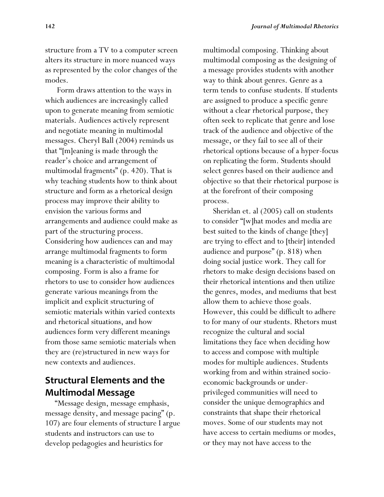structure from a TV to a computer screen alters its structure in more nuanced ways as represented by the color changes of the modes.

 Form draws attention to the ways in which audiences are increasingly called upon to generate meaning from semiotic materials. Audiences actively represent and negotiate meaning in multimodal messages. Cheryl Ball (2004) reminds us that "[m]eaning is made through the reader's choice and arrangement of multimodal fragments" (p. 420). That is why teaching students how to think about structure and form as a rhetorical design process may improve their ability to envision the various forms and arrangements and audience could make as part of the structuring process. Considering how audiences can and may arrange multimodal fragments to form meaning is a characteristic of multimodal composing. Form is also a frame for rhetors to use to consider how audiences generate various meanings from the implicit and explicit structuring of semiotic materials within varied contexts and rhetorical situations, and how audiences form very different meanings from those same semiotic materials when they are (re)structured in new ways for new contexts and audiences.

# **Structural Elements and the Multimodal Message**

 "Message design, message emphasis, message density, and message pacing" (p. 107) are four elements of structure I argue students and instructors can use to develop pedagogies and heuristics for

multimodal composing. Thinking about multimodal composing as the designing of a message provides students with another way to think about genres. Genre as a term tends to confuse students. If students are assigned to produce a specific genre without a clear rhetorical purpose, they often seek to replicate that genre and lose track of the audience and objective of the message, or they fail to see all of their rhetorical options because of a hyper-focus on replicating the form. Students should select genres based on their audience and objective so that their rhetorical purpose is at the forefront of their composing process.

 Sheridan et. al (2005) call on students to consider "[w]hat modes and media are best suited to the kinds of change [they] are trying to effect and to [their] intended audience and purpose" (p. 818) when doing social justice work. They call for rhetors to make design decisions based on their rhetorical intentions and then utilize the genres, modes, and mediums that best allow them to achieve those goals. However, this could be difficult to adhere to for many of our students. Rhetors must recognize the cultural and social limitations they face when deciding how to access and compose with multiple modes for multiple audiences. Students working from and within strained socioeconomic backgrounds or underprivileged communities will need to consider the unique demographics and constraints that shape their rhetorical moves. Some of our students may not have access to certain mediums or modes, or they may not have access to the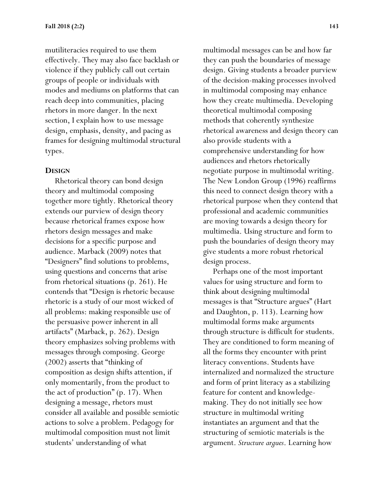mutiliteracies required to use them effectively. They may also face backlash or violence if they publicly call out certain groups of people or individuals with modes and mediums on platforms that can reach deep into communities, placing rhetors in more danger. In the next section, I explain how to use message design, emphasis, density, and pacing as frames for designing multimodal structural types.

#### **DESIGN**

 Rhetorical theory can bond design theory and multimodal composing together more tightly. Rhetorical theory extends our purview of design theory because rhetorical frames expose how rhetors design messages and make decisions for a specific purpose and audience. Marback (2009) notes that "Designers" find solutions to problems, using questions and concerns that arise from rhetorical situations (p. 261). He contends that "Design is rhetoric because rhetoric is a study of our most wicked of all problems: making responsible use of the persuasive power inherent in all artifacts" (Marback, p. 262). Design theory emphasizes solving problems with messages through composing. George (2002) asserts that "thinking of composition as design shifts attention, if only momentarily, from the product to the act of production" (p. 17). When designing a message, rhetors must consider all available and possible semiotic actions to solve a problem. Pedagogy for multimodal composition must not limit students' understanding of what

multimodal messages can be and how far they can push the boundaries of message design. Giving students a broader purview of the decision-making processes involved in multimodal composing may enhance how they create multimedia. Developing theoretical multimodal composing methods that coherently synthesize rhetorical awareness and design theory can also provide students with a comprehensive understanding for how audiences and rhetors rhetorically negotiate purpose in multimodal writing. The New London Group (1996) reaffirms this need to connect design theory with a rhetorical purpose when they contend that professional and academic communities are moving towards a design theory for multimedia. Using structure and form to push the boundaries of design theory may give students a more robust rhetorical design process.

 Perhaps one of the most important values for using structure and form to think about designing multimodal messages is that "Structure argues" (Hart and Daughton, p. 113). Learning how multimodal forms make arguments through structure is difficult for students. They are conditioned to form meaning of all the forms they encounter with print literacy conventions. Students have internalized and normalized the structure and form of print literacy as a stabilizing feature for content and knowledgemaking. They do not initially see how structure in multimodal writing instantiates an argument and that the structuring of semiotic materials is the argument. *Structure argues*. Learning how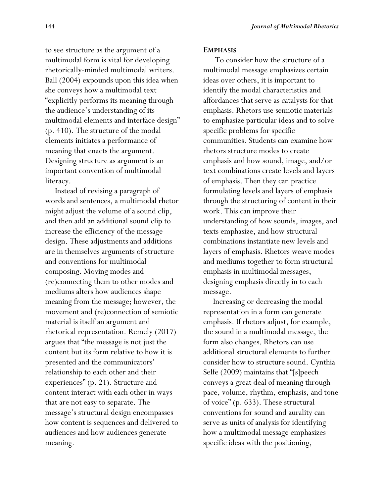to see structure as the argument of a multimodal form is vital for developing rhetorically-minded multimodal writers. Ball (2004) expounds upon this idea when she conveys how a multimodal text "explicitly performs its meaning through the audience's understanding of its multimodal elements and interface design" (p. 410). The structure of the modal elements initiates a performance of meaning that enacts the argument. Designing structure as argument is an important convention of multimodal literacy.

 Instead of revising a paragraph of words and sentences, a multimodal rhetor might adjust the volume of a sound clip, and then add an additional sound clip to increase the efficiency of the message design. These adjustments and additions are in themselves arguments of structure and conventions for multimodal composing. Moving modes and (re)connecting them to other modes and mediums alters how audiences shape meaning from the message; however, the movement and (re)connection of semiotic material is itself an argument and rhetorical representation. Remely (2017) argues that "the message is not just the content but its form relative to how it is presented and the communicators' relationship to each other and their experiences" (p. 21). Structure and content interact with each other in ways that are not easy to separate. The message's structural design encompasses how content is sequences and delivered to audiences and how audiences generate meaning.

#### **EMPHASIS**

 To consider how the structure of a multimodal message emphasizes certain ideas over others, it is important to identify the modal characteristics and affordances that serve as catalysts for that emphasis. Rhetors use semiotic materials to emphasize particular ideas and to solve specific problems for specific communities. Students can examine how rhetors structure modes to create emphasis and how sound, image, and/or text combinations create levels and layers of emphasis. Then they can practice formulating levels and layers of emphasis through the structuring of content in their work. This can improve their understanding of how sounds, images, and texts emphasize, and how structural combinations instantiate new levels and layers of emphasis. Rhetors weave modes and mediums together to form structural emphasis in multimodal messages, designing emphasis directly in to each message.

 Increasing or decreasing the modal representation in a form can generate emphasis. If rhetors adjust, for example, the sound in a multimodal message, the form also changes. Rhetors can use additional structural elements to further consider how to structure sound. Cynthia Selfe (2009) maintains that "[s]peech conveys a great deal of meaning through pace, volume, rhythm, emphasis, and tone of voice" (p. 633). These structural conventions for sound and aurality can serve as units of analysis for identifying how a multimodal message emphasizes specific ideas with the positioning,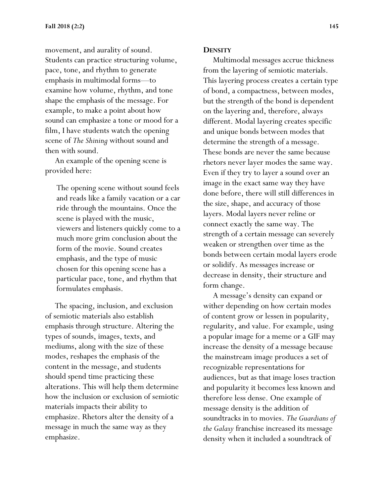movement, and aurality of sound. Students can practice structuring volume, pace, tone, and rhythm to generate emphasis in multimodal forms—to examine how volume, rhythm, and tone shape the emphasis of the message. For example, to make a point about how sound can emphasize a tone or mood for a film, I have students watch the opening scene of *The Shining* without sound and then with sound.

 An example of the opening scene is provided here:

The opening scene without sound feels and reads like a family vacation or a car ride through the mountains. Once the scene is played with the music, viewers and listeners quickly come to a much more grim conclusion about the form of the movie. Sound creates emphasis, and the type of music chosen for this opening scene has a particular pace, tone, and rhythm that formulates emphasis.

 The spacing, inclusion, and exclusion of semiotic materials also establish emphasis through structure. Altering the types of sounds, images, texts, and mediums, along with the size of these modes, reshapes the emphasis of the content in the message, and students should spend time practicing these alterations. This will help them determine how the inclusion or exclusion of semiotic materials impacts their ability to emphasize. Rhetors alter the density of a message in much the same way as they emphasize.

#### **DENSITY**

 Multimodal messages accrue thickness from the layering of semiotic materials. This layering process creates a certain type of bond, a compactness, between modes, but the strength of the bond is dependent on the layering and, therefore, always different. Modal layering creates specific and unique bonds between modes that determine the strength of a message. These bonds are never the same because rhetors never layer modes the same way. Even if they try to layer a sound over an image in the exact same way they have done before, there will still differences in the size, shape, and accuracy of those layers. Modal layers never reline or connect exactly the same way. The strength of a certain message can severely weaken or strengthen over time as the bonds between certain modal layers erode or solidify. As messages increase or decrease in density, their structure and form change.

 A message's density can expand or wither depending on how certain modes of content grow or lessen in popularity, regularity, and value. For example, using a popular image for a meme or a GIF may increase the density of a message because the mainstream image produces a set of recognizable representations for audiences, but as that image loses traction and popularity it becomes less known and therefore less dense. One example of message density is the addition of soundtracks in to movies. *The Guardians of the Galaxy* franchise increased its message density when it included a soundtrack of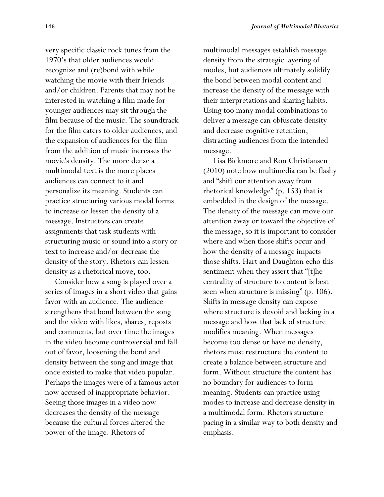very specific classic rock tunes from the 1970's that older audiences would recognize and (re)bond with while watching the movie with their friends and/or children. Parents that may not be interested in watching a film made for younger audiences may sit through the film because of the music. The soundtrack for the film caters to older audiences, and the expansion of audiences for the film from the addition of music increases the movie's density. The more dense a multimodal text is the more places audiences can connect to it and personalize its meaning. Students can practice structuring various modal forms to increase or lessen the density of a message. Instructors can create assignments that task students with structuring music or sound into a story or text to increase and/or decrease the density of the story. Rhetors can lessen density as a rhetorical move, too.

 Consider how a song is played over a series of images in a short video that gains favor with an audience. The audience strengthens that bond between the song and the video with likes, shares, reposts and comments, but over time the images in the video become controversial and fall out of favor, loosening the bond and density between the song and image that once existed to make that video popular. Perhaps the images were of a famous actor now accused of inappropriate behavior. Seeing those images in a video now decreases the density of the message because the cultural forces altered the power of the image. Rhetors of

multimodal messages establish message density from the strategic layering of modes, but audiences ultimately solidify the bond between modal content and increase the density of the message with their interpretations and sharing habits. Using too many modal combinations to deliver a message can obfuscate density and decrease cognitive retention, distracting audiences from the intended message.

 Lisa Bickmore and Ron Christiansen (2010) note how multimedia can be flashy and "shift our attention away from rhetorical knowledge" (p. 153) that is embedded in the design of the message. The density of the message can move our attention away or toward the objective of the message, so it is important to consider where and when those shifts occur and how the density of a message impacts those shifts. Hart and Daughton echo this sentiment when they assert that "[t]he centrality of structure to content is best seen when structure is missing" (p. 106). Shifts in message density can expose where structure is devoid and lacking in a message and how that lack of structure modifies meaning. When messages become too dense or have no density, rhetors must restructure the content to create a balance between structure and form. Without structure the content has no boundary for audiences to form meaning. Students can practice using modes to increase and decrease density in a multimodal form. Rhetors structure pacing in a similar way to both density and emphasis.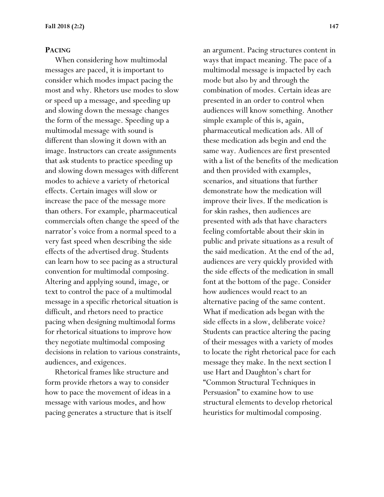#### **PACING**

 When considering how multimodal messages are paced, it is important to consider which modes impact pacing the most and why. Rhetors use modes to slow or speed up a message, and speeding up and slowing down the message changes the form of the message. Speeding up a multimodal message with sound is different than slowing it down with an image. Instructors can create assignments that ask students to practice speeding up and slowing down messages with different modes to achieve a variety of rhetorical effects. Certain images will slow or increase the pace of the message more than others. For example, pharmaceutical commercials often change the speed of the narrator's voice from a normal speed to a very fast speed when describing the side effects of the advertised drug. Students can learn how to see pacing as a structural convention for multimodal composing. Altering and applying sound, image, or text to control the pace of a multimodal message in a specific rhetorical situation is difficult, and rhetors need to practice pacing when designing multimodal forms for rhetorical situations to improve how they negotiate multimodal composing decisions in relation to various constraints, audiences, and exigences.

 Rhetorical frames like structure and form provide rhetors a way to consider how to pace the movement of ideas in a message with various modes, and how pacing generates a structure that is itself

an argument. Pacing structures content in ways that impact meaning. The pace of a multimodal message is impacted by each mode but also by and through the combination of modes. Certain ideas are presented in an order to control when audiences will know something. Another simple example of this is, again, pharmaceutical medication ads. All of these medication ads begin and end the same way. Audiences are first presented with a list of the benefits of the medication and then provided with examples, scenarios, and situations that further demonstrate how the medication will improve their lives. If the medication is for skin rashes, then audiences are presented with ads that have characters feeling comfortable about their skin in public and private situations as a result of the said medication. At the end of the ad, audiences are very quickly provided with the side effects of the medication in small font at the bottom of the page. Consider how audiences would react to an alternative pacing of the same content. What if medication ads began with the side effects in a slow, deliberate voice? Students can practice altering the pacing of their messages with a variety of modes to locate the right rhetorical pace for each message they make. In the next section I use Hart and Daughton's chart for "Common Structural Techniques in Persuasion" to examine how to use structural elements to develop rhetorical heuristics for multimodal composing.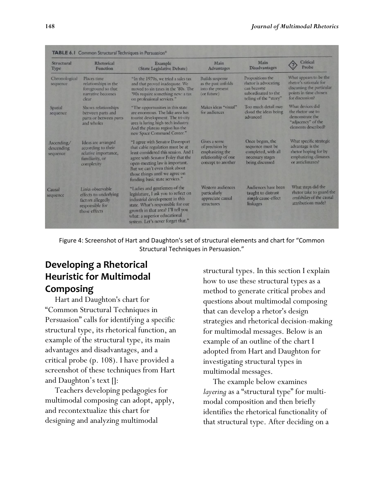| Structural<br>Type                   | Rhetorical<br>Function                                                                             | Example<br>(State Legislative Debate)                                                                                                                                                                                                                                                   | Main<br><b>Advantages</b>                                                                        | Main<br><b>Disadvantages</b>                                                                            | Critical<br>Probe                                                                                                         |
|--------------------------------------|----------------------------------------------------------------------------------------------------|-----------------------------------------------------------------------------------------------------------------------------------------------------------------------------------------------------------------------------------------------------------------------------------------|--------------------------------------------------------------------------------------------------|---------------------------------------------------------------------------------------------------------|---------------------------------------------------------------------------------------------------------------------------|
| Chronological<br>sequence            | Places time<br>relationships in the<br>foreground so that<br>narrative becomes<br>clear            | "In the 1970s, we tried a sales tax<br>and that proved inadequate. We<br>moved to sin taxes in the '80s. The<br>'90s require something new: a tax<br>on professional services."                                                                                                         | <b>Builds</b> suspense<br>as the past unfolds<br>into the present<br>(or future)                 | Propositions the<br>rhetor is advocating<br>can become<br>subordinated to the<br>telling of the "story" | What appears to be the<br>rhetor's rationale for<br>discussing the particular<br>points in time chosen<br>for discussion? |
| Spatial<br>sequence                  | Shows relationships<br>between parts and<br>parts or between parts<br>and wholes                   | "The opportunities in this state<br>are enormous. The lake area has<br>tourist development. The tri-city<br>area is luring high-tech industry.<br>And the plateau region has the<br>new Space Command Center."                                                                          | Makes ideas "visual"<br>for audiences                                                            | Too much detail may<br>cloud the ideas being<br>advanced                                                | What devices did<br>the rhetor use to<br>demonstrate the<br>"adjacency" of the<br>elements described?                     |
| Ascending/<br>descending<br>sequence | Ideas are arranged<br>according to their<br>relative importance,<br>familiarity, or<br>complexity  | "I agree with Senator Davenport<br>that cable regulation must be at<br>least considered this session. And I<br>agree with Senator Foley that the<br>open-meeting law is important.<br>But we can't even think about<br>those things until we agree on<br>funding basic state services." | Gives a sense<br>of precision by<br>emphasizing the<br>relationship of one<br>concept to another | Once begun, the<br>sequence must be<br>completed, with all<br>necessary stages<br>being discussed       | What specific strategic<br>advantage is the<br>rhetor hoping for by<br>emphasizing climaxes<br>or anticlimaxes?           |
| Causal<br>sequence                   | Links observable<br>effects to underlying<br>factors allegedly<br>responsible for<br>those effects | "Ladies and gentlemen of the<br>legislature, I ask you to reflect on<br>industrial development in this<br>state. What's responsible for our<br>growth in that area? I'll tell you<br>what: a superior educational<br>system. Let's never forget that."                                  | Western audiences<br>particularly<br>appreciate causal<br>structures                             | Audiences have been<br>taught to distrust<br>simple cause-effect<br>linkages                            | What steps did the<br>rhetor take to guard the<br>credibility of the causal<br>attributions made?                         |

Figure 4: Screenshot of Hart and Daughton's set of structural elements and chart for "Common Structural Techniques in Persuasion."

# **Developing a Rhetorical Heuristic for Multimodal Composing**

 Hart and Daughton's chart for "Common Structural Techniques in Persuasion" calls for identifying a specific structural type, its rhetorical function, an example of the structural type, its main advantages and disadvantages, and a critical probe (p. 108). I have provided a screenshot of these techniques from Hart and Daughton's text []:

 Teachers developing pedagogies for multimodal composing can adopt, apply, and recontextualize this chart for designing and analyzing multimodal

structural types. In this section I explain how to use these structural types as a method to generate critical probes and questions about multimodal composing that can develop a rhetor's design strategies and rhetorical decision-making for multimodal messages. Below is an example of an outline of the chart I adopted from Hart and Daughton for investigating structural types in multimodal messages.

 The example below examines *layering* as a "structural type" for multimodal composition and then briefly identifies the rhetorical functionality of that structural type. After deciding on a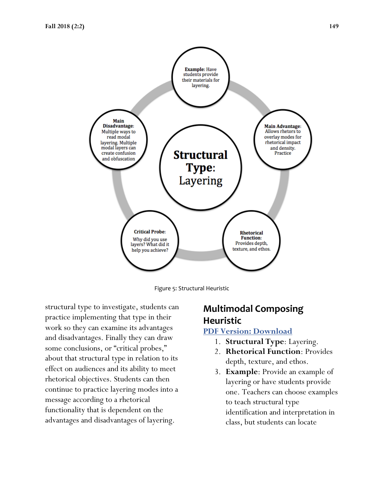



structural type to investigate, students can practice implementing that type in their work so they can examine its advantages and disadvantages. Finally they can draw some conclusions, or "critical probes," about that structural type in relation to its effect on audiences and its ability to meet rhetorical objectives. Students can then continue to practice layering modes into a message according to a rhetorical functionality that is dependent on the advantages and disadvantages of layering.

# **Multimodal Composing Heuristic**

#### **[PDF Version: Download](https://tandtprojects.cah.ucf.edu/~pmartin/JOMR/images/Chart1.pdf)**

- 1. **Structural Type**: Layering.
- 2. **Rhetorical Function**: Provides depth, texture, and ethos.
- 3. **Example**: Provide an example of layering or have students provide one. Teachers can choose examples to teach structural type identification and interpretation in class, but students can locate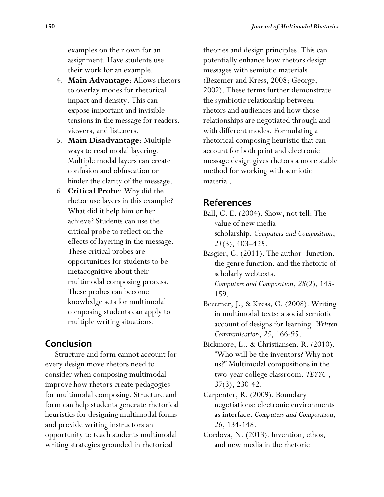examples on their own for an assignment. Have students use their work for an example.

- 4. **Main Advantage**: Allows rhetors to overlay modes for rhetorical impact and density. This can expose important and invisible tensions in the message for readers, viewers, and listeners.
- 5. **Main Disadvantage**: Multiple ways to read modal layering. Multiple modal layers can create confusion and obfuscation or hinder the clarity of the message.
- 6. **Critical Probe**: Why did the rhetor use layers in this example? What did it help him or her achieve? Students can use the critical probe to reflect on the effects of layering in the message. These critical probes are opportunities for students to be metacognitive about their multimodal composing process. These probes can become knowledge sets for multimodal composing students can apply to multiple writing situations.

## **Conclusion**

 Structure and form cannot account for every design move rhetors need to consider when composing multimodal improve how rhetors create pedagogies for multimodal composing. Structure and form can help students generate rhetorical heuristics for designing multimodal forms and provide writing instructors an opportunity to teach students multimodal writing strategies grounded in rhetorical

theories and design principles. This can potentially enhance how rhetors design messages with semiotic materials (Bezemer and Kress, 2008; George, 2002). These terms further demonstrate the symbiotic relationship between rhetors and audiences and how those relationships are negotiated through and with different modes. Formulating a rhetorical composing heuristic that can account for both print and electronic message design gives rhetors a more stable method for working with semiotic material.

## **References**

- Ball, C. E. (2004). Show, not tell: The value of new media scholarship. *Computers and Composition*, *21*(3), 403–425.
- Basgier, C. (2011). The author- function, the genre function, and the rhetoric of scholarly webtexts. *Computers and Composition*, *28*(2), 145- 159.
- Bezemer, J., & Kress, G. (2008). Writing in multimodal texts: a social semiotic account of designs for learning. *Written Communication*, *25*, 166-95.
- Bickmore, L., & Christiansen, R. (2010). "Who will be the inventors? Why not us?" Multimodal compositions in the two-year college classroom. *TEYYC* , *37*(3), 230-42.
- Carpenter, R. (2009). Boundary negotiations: electronic environments as interface. *Computers and Composition*, *26*, 134-148.
- Cordova, N. (2013). Invention, ethos, and new media in the rhetoric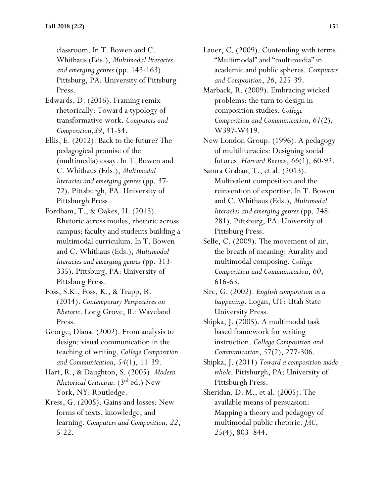classroom. In T. Bowen and C. Whithaus (Eds.), *Multimodal literacies and emerging genres* (pp. 143-163). Pittsburg, PA: University of Pittsburg Press.

Edwards, D. (2016). Framing remix rhetorically: Toward a typology of transformative work. *Computers and Composition*,*39*, 41-54.

Ellis, E. (2012). Back to the future? The pedagogical promise of the (multimedia) essay. In T. Bowen and C. Whithaus (Eds.), *Multimodal literacies and emerging genres* (pp. 37- 72). Pittsburgh, PA. University of Pittsburgh Press.

Fordham, T., & Oakes, H. (2013). Rhetoric across modes, rhetoric across campus: faculty and students building a multimodal curriculum. In T. Bowen and C. Whithaus (Eds.), *Multimodal literacies and emerging genres* (pp. 313- 335). Pittsburg, PA: University of Pittsburg Press.

Foss, S.K., Foss, K., & Trapp, R. (2014). *Contemporary Perspectives on Rhetoric*. Long Grove, IL: Waveland Press.

George, Diana. (2002). From analysis to design: visual communication in the teaching of writing. *College Composition and Communication*, *54*(1), 11-39.

Hart, R., & Daughton, S. (2005). *Modern Rhetorical Criticism*. (3rd ed.) New York, NY: Routledge.

Kress, G. (2005). Gains and losses: New forms of texts, knowledge, and learning. *Computers and Composition*, *22*, 5-22.

Lauer, C. (2009). Contending with terms: "Multimodal" and "multimedia" in academic and public spheres. *Computers and Composition*, *26*, 225-39.

Marback, R. (2009). Embracing wicked problems: the turn to design in composition studies. *College Composition and Communication*, *61*(2), W397-W419.

New London Group. (1996). A pedagogy of multiliteracies: Designing social futures. *Harvard Review*, *66*(1), 60-92.

Samra Graban, T., et al. (2013). Multivalent composition and the reinvention of expertise. In T. Bowen and C. Whithaus (Eds.), *Multimodal literacies and emerging genres* (pp. 248- 281). Pittsburg, PA: University of Pittsburg Press.

- Selfe, C. (2009). The movement of air, the breath of meaning: Aurality and multimodal composing. *College Composition and Communication*, *60*, 616-63.
- Sirc, G. (2002). *English composition as a happening*. Logan, UT: Utah State University Press.
- Shipka, J. (2005). A multimodal task based framework for writing instruction. *College Composition and Communication*, *57*(2), 277-306.
- Shipka, J. (2011) *Toward a composition made whole*. Pittsburgh, PA: University of Pittsburgh Press.

Sheridan, D. M., et al. (2005). The available means of persuasion: Mapping a theory and pedagogy of multimodal public rhetoric. *JAC*, *25*(4), 803–844.